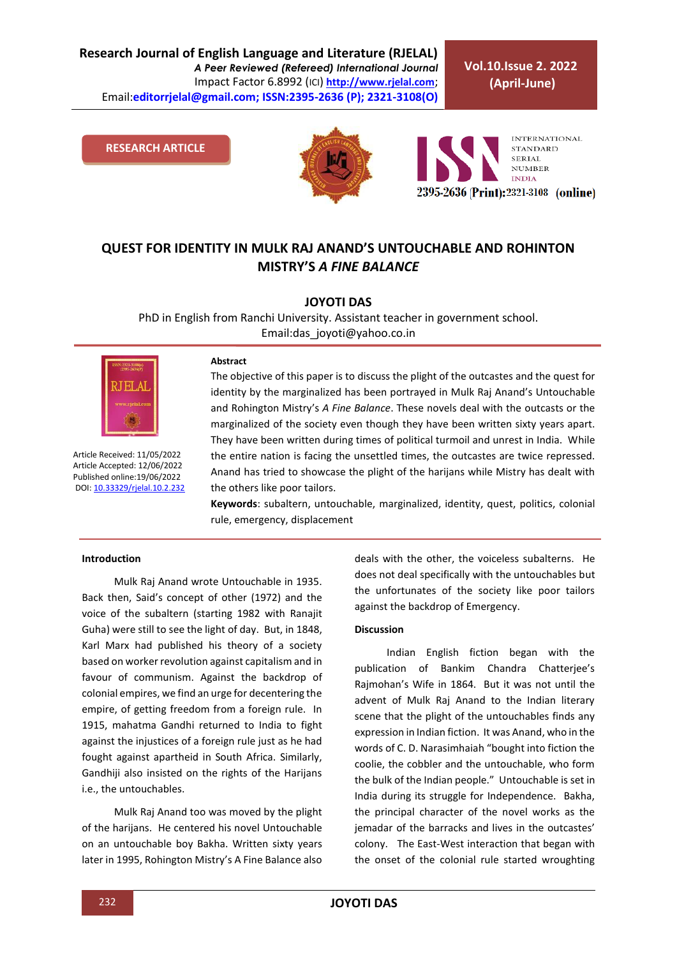**Research Journal of English Language and Literature (RJELAL)** *A Peer Reviewed (Refereed) International Journal* Impact Factor 6.8992 (ICI) **[http://www.rjelal.com](http://www.rjelal.com/)**; Email:**editorrjelal@gmail.com; ISSN:2395-2636 (P); 2321-3108(O)** 

**Vol.10.Issue 2. 2022 (April-June)**

**RESEARCH ARTICLE**





## **QUEST FOR IDENTITY IN MULK RAJ ANAND'S UNTOUCHABLE AND ROHINTON MISTRY'S** *A FINE BALANCE*

**JOYOTI DAS** 

PhD in English from Ranchi University. Assistant teacher in government school. Email:das\_joyoti@yahoo.co.in



Article Received: 11/05/2022 Article Accepted: 12/06/2022 Published online:19/06/2022 DOI[: 10.33329/rjelal.10.2.2](http://www.rjelal.com/)32

#### **Abstract**

The objective of this paper is to discuss the plight of the outcastes and the quest for identity by the marginalized has been portrayed in Mulk Raj Anand's Untouchable and Rohington Mistry's *A Fine Balance*. These novels deal with the outcasts or the marginalized of the society even though they have been written sixty years apart. They have been written during times of political turmoil and unrest in India. While the entire nation is facing the unsettled times, the outcastes are twice repressed. Anand has tried to showcase the plight of the harijans while Mistry has dealt with the others like poor tailors.

**Keywords**: subaltern, untouchable, marginalized, identity, quest, politics, colonial rule, emergency, displacement

#### **Introduction**

Mulk Raj Anand wrote Untouchable in 1935. Back then, Said's concept of other (1972) and the voice of the subaltern (starting 1982 with Ranajit Guha) were still to see the light of day. But, in 1848, Karl Marx had published his theory of a society based on worker revolution against capitalism and in favour of communism. Against the backdrop of colonial empires, we find an urge for decentering the empire, of getting freedom from a foreign rule. In 1915, mahatma Gandhi returned to India to fight against the injustices of a foreign rule just as he had fought against apartheid in South Africa. Similarly, Gandhiji also insisted on the rights of the Harijans i.e., the untouchables.

Mulk Raj Anand too was moved by the plight of the harijans. He centered his novel Untouchable on an untouchable boy Bakha. Written sixty years later in 1995, Rohington Mistry's A Fine Balance also deals with the other, the voiceless subalterns. He does not deal specifically with the untouchables but the unfortunates of the society like poor tailors against the backdrop of Emergency.

#### **Discussion**

Indian English fiction began with the publication of Bankim Chandra Chatterjee's Rajmohan's Wife in 1864. But it was not until the advent of Mulk Raj Anand to the Indian literary scene that the plight of the untouchables finds any expression in Indian fiction. It was Anand, who in the words of C. D. Narasimhaiah "bought into fiction the coolie, the cobbler and the untouchable, who form the bulk of the Indian people." Untouchable is set in India during its struggle for Independence. Bakha, the principal character of the novel works as the jemadar of the barracks and lives in the outcastes' colony. The East-West interaction that began with the onset of the colonial rule started wroughting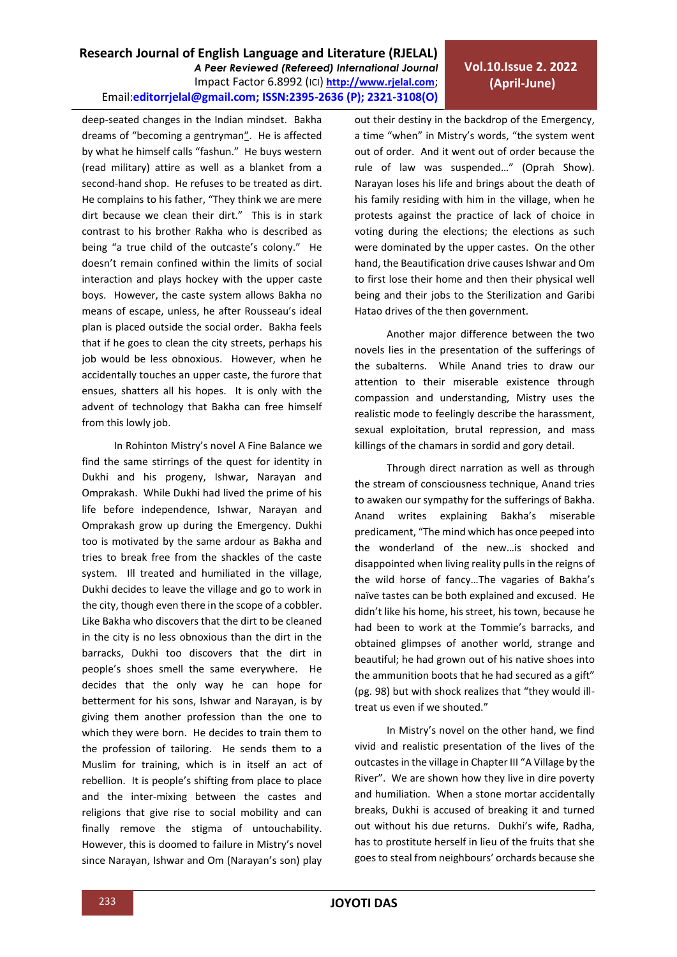**Research Journal of English Language and Literature (RJELAL)** *A Peer Reviewed (Refereed) International Journal* Impact Factor 6.8992 (ICI) **[http://www.rjelal.com](http://www.rjelal.com/)**; Email:**editorrjelal@gmail.com; ISSN:2395-2636 (P); 2321-3108(O)** 

deep-seated changes in the Indian mindset. Bakha dreams of "becoming a gentryman". He is affected by what he himself calls "fashun." He buys western (read military) attire as well as a blanket from a second-hand shop. He refuses to be treated as dirt. He complains to his father, "They think we are mere dirt because we clean their dirt." This is in stark contrast to his brother Rakha who is described as being "a true child of the outcaste's colony." He doesn't remain confined within the limits of social interaction and plays hockey with the upper caste boys. However, the caste system allows Bakha no means of escape, unless, he after Rousseau's ideal plan is placed outside the social order. Bakha feels that if he goes to clean the city streets, perhaps his job would be less obnoxious. However, when he accidentally touches an upper caste, the furore that ensues, shatters all his hopes. It is only with the advent of technology that Bakha can free himself from this lowly job.

In Rohinton Mistry's novel A Fine Balance we find the same stirrings of the quest for identity in Dukhi and his progeny, Ishwar, Narayan and Omprakash. While Dukhi had lived the prime of his life before independence, Ishwar, Narayan and Omprakash grow up during the Emergency. Dukhi too is motivated by the same ardour as Bakha and tries to break free from the shackles of the caste system. Ill treated and humiliated in the village, Dukhi decides to leave the village and go to work in the city, though even there in the scope of a cobbler. Like Bakha who discovers that the dirt to be cleaned in the city is no less obnoxious than the dirt in the barracks, Dukhi too discovers that the dirt in people's shoes smell the same everywhere. He decides that the only way he can hope for betterment for his sons, Ishwar and Narayan, is by giving them another profession than the one to which they were born. He decides to train them to the profession of tailoring. He sends them to a Muslim for training, which is in itself an act of rebellion. It is people's shifting from place to place and the inter-mixing between the castes and religions that give rise to social mobility and can finally remove the stigma of untouchability. However, this is doomed to failure in Mistry's novel since Narayan, Ishwar and Om (Narayan's son) play out their destiny in the backdrop of the Emergency, a time "when" in Mistry's words, "the system went out of order. And it went out of order because the rule of law was suspended…" (Oprah Show). Narayan loses his life and brings about the death of his family residing with him in the village, when he protests against the practice of lack of choice in voting during the elections; the elections as such were dominated by the upper castes. On the other hand, the Beautification drive causes Ishwar and Om to first lose their home and then their physical well being and their jobs to the Sterilization and Garibi Hatao drives of the then government.

**Vol.10.Issue 2. 2022 (April-June)**

Another major difference between the two novels lies in the presentation of the sufferings of the subalterns. While Anand tries to draw our attention to their miserable existence through compassion and understanding, Mistry uses the realistic mode to feelingly describe the harassment, sexual exploitation, brutal repression, and mass killings of the chamars in sordid and gory detail.

Through direct narration as well as through the stream of consciousness technique, Anand tries to awaken our sympathy for the sufferings of Bakha. Anand writes explaining Bakha's miserable predicament, "The mind which has once peeped into the wonderland of the new…is shocked and disappointed when living reality pulls in the reigns of the wild horse of fancy…The vagaries of Bakha's naïve tastes can be both explained and excused. He didn't like his home, his street, his town, because he had been to work at the Tommie's barracks, and obtained glimpses of another world, strange and beautiful; he had grown out of his native shoes into the ammunition boots that he had secured as a gift" (pg. 98) but with shock realizes that "they would illtreat us even if we shouted."

In Mistry's novel on the other hand, we find vivid and realistic presentation of the lives of the outcastes in the village in Chapter III "A Village by the River". We are shown how they live in dire poverty and humiliation. When a stone mortar accidentally breaks, Dukhi is accused of breaking it and turned out without his due returns. Dukhi's wife, Radha, has to prostitute herself in lieu of the fruits that she goes to steal from neighbours' orchards because she